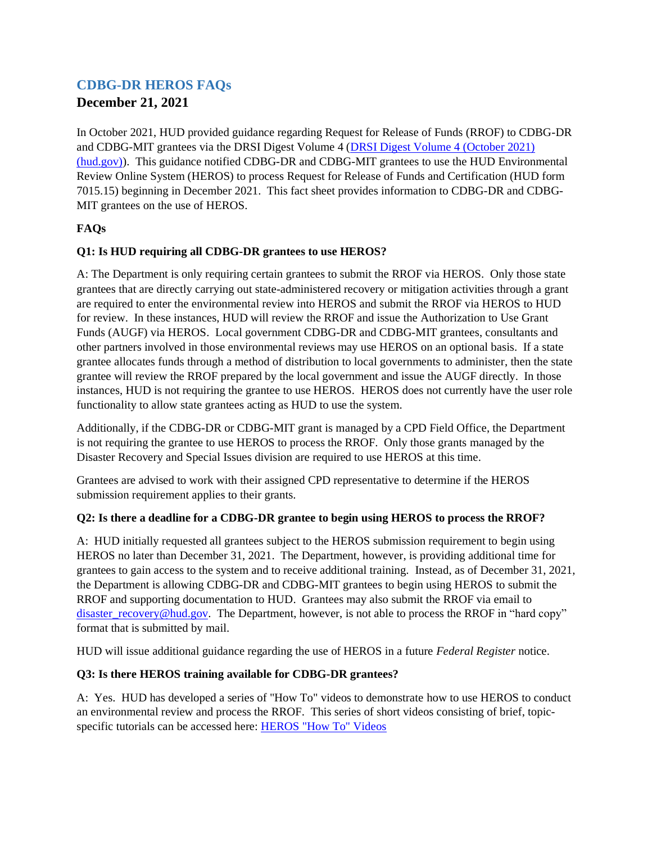# **CDBG-DR HEROS FAQs**

# **December 21, 2021**

In October 2021, HUD provided guidance regarding Request for Release of Funds (RROF) to CDBG-DR and CDBG-MIT grantees via the DRSI Digest Volume 4 [\(DRSI Digest Volume 4 \(October 2021\)](https://www.hud.gov/sites/dfiles/CPD/documents/DRSI-Digest-Volume-4.pdf)  [\(hud.gov\)\)](https://www.hud.gov/sites/dfiles/CPD/documents/DRSI-Digest-Volume-4.pdf). This guidance notified CDBG-DR and CDBG-MIT grantees to use the HUD Environmental Review Online System (HEROS) to process Request for Release of Funds and Certification (HUD form 7015.15) beginning in December 2021. This fact sheet provides information to CDBG-DR and CDBG-MIT grantees on the use of HEROS.

## **FAQs**

### **Q1: Is HUD requiring all CDBG-DR grantees to use HEROS?**

A: The Department is only requiring certain grantees to submit the RROF via HEROS. Only those state grantees that are directly carrying out state-administered recovery or mitigation activities through a grant are required to enter the environmental review into HEROS and submit the RROF via HEROS to HUD for review. In these instances, HUD will review the RROF and issue the Authorization to Use Grant Funds (AUGF) via HEROS. Local government CDBG-DR and CDBG-MIT grantees, consultants and other partners involved in those environmental reviews may use HEROS on an optional basis. If a state grantee allocates funds through a method of distribution to local governments to administer, then the state grantee will review the RROF prepared by the local government and issue the AUGF directly. In those instances, HUD is not requiring the grantee to use HEROS. HEROS does not currently have the user role functionality to allow state grantees acting as HUD to use the system.

Additionally, if the CDBG-DR or CDBG-MIT grant is managed by a CPD Field Office, the Department is not requiring the grantee to use HEROS to process the RROF. Only those grants managed by the Disaster Recovery and Special Issues division are required to use HEROS at this time.

Grantees are advised to work with their assigned CPD representative to determine if the HEROS submission requirement applies to their grants.

#### **Q2: Is there a deadline for a CDBG-DR grantee to begin using HEROS to process the RROF?**

A: HUD initially requested all grantees subject to the HEROS submission requirement to begin using HEROS no later than December 31, 2021. The Department, however, is providing additional time for grantees to gain access to the system and to receive additional training. Instead, as of December 31, 2021, the Department is allowing CDBG-DR and CDBG-MIT grantees to begin using HEROS to submit the RROF and supporting documentation to HUD. Grantees may also submit the RROF via email to [disaster\\_recovery@hud.gov.](mailto:disaster_recovery@hud.gov) The Department, however, is not able to process the RROF in "hard copy" format that is submitted by mail.

HUD will issue additional guidance regarding the use of HEROS in a future *Federal Register* notice.

#### **Q3: Is there HEROS training available for CDBG-DR grantees?**

A: Yes. HUD has developed a series of "How To" videos to demonstrate how to use HEROS to conduct an environmental review and process the RROF. This series of short videos consisting of brief, topicspecific tutorials can be accessed here: [HEROS "How To" Videos](https://www.hudexchange.info/programs/environmental-review/heros-e-tutorials/)